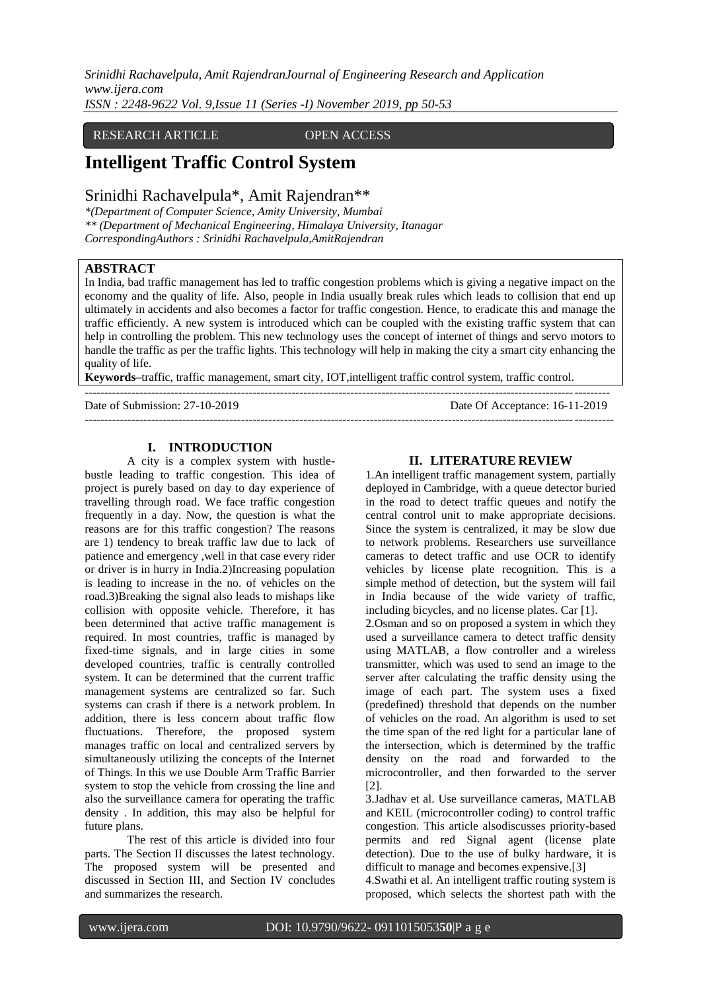## RESEARCH ARTICLE OPEN ACCESS

# **Intelligent Traffic Control System**

# Srinidhi Rachavelpula\*, Amit Rajendran\*\*

*\*(Department of Computer Science, Amity University, Mumbai \*\* (Department of Mechanical Engineering, Himalaya University, Itanagar CorrespondingAuthors : Srinidhi Rachavelpula,AmitRajendran*

## **ABSTRACT**

In India, bad traffic management has led to traffic congestion problems which is giving a negative impact on the economy and the quality of life. Also, people in India usually break rules which leads to collision that end up ultimately in accidents and also becomes a factor for traffic congestion. Hence, to eradicate this and manage the traffic efficiently. A new system is introduced which can be coupled with the existing traffic system that can help in controlling the problem. This new technology uses the concept of internet of things and servo motors to handle the traffic as per the traffic lights. This technology will help in making the city a smart city enhancing the quality of life.

---------------------------------------------------------------------------------------------------------------------------------------

**Keywords–**traffic, traffic management, smart city, IOT,intelligent traffic control system, traffic control. --------------------------------------------------------------------------------------------------------------------------------------

Date of Submission: 27-10-2019 Date Of Acceptance: 16-11-2019

## **I. INTRODUCTION**

A city is a complex system with hustlebustle leading to traffic congestion. This idea of project is purely based on day to day experience of travelling through road. We face traffic congestion frequently in a day. Now, the question is what the reasons are for this traffic congestion? The reasons are 1) tendency to break traffic law due to lack of patience and emergency ,well in that case every rider or driver is in hurry in India.2)Increasing population is leading to increase in the no. of vehicles on the road.3)Breaking the signal also leads to mishaps like collision with opposite vehicle. Therefore, it has been determined that active traffic management is required. In most countries, traffic is managed by fixed-time signals, and in large cities in some developed countries, traffic is centrally controlled system. It can be determined that the current traffic management systems are centralized so far. Such systems can crash if there is a network problem. In addition, there is less concern about traffic flow fluctuations. Therefore, the proposed system manages traffic on local and centralized servers by simultaneously utilizing the concepts of the Internet of Things. In this we use Double Arm Traffic Barrier system to stop the vehicle from crossing the line and also the surveillance camera for operating the traffic density . In addition, this may also be helpful for future plans.

The rest of this article is divided into four parts. The Section II discusses the latest technology. The proposed system will be presented and discussed in Section III, and Section IV concludes and summarizes the research.

#### **II. LITERATURE REVIEW**

1.An intelligent traffic management system, partially deployed in Cambridge, with a queue detector buried in the road to detect traffic queues and notify the central control unit to make appropriate decisions. Since the system is centralized, it may be slow due to network problems. Researchers use surveillance cameras to detect traffic and use OCR to identify vehicles by license plate recognition. This is a simple method of detection, but the system will fail in India because of the wide variety of traffic, including bicycles, and no license plates. Car [1]. 2.Osman and so on proposed a system in which they used a surveillance camera to detect traffic density using MATLAB, a flow controller and a wireless transmitter, which was used to send an image to the server after calculating the traffic density using the image of each part. The system uses a fixed (predefined) threshold that depends on the number of vehicles on the road. An algorithm is used to set the time span of the red light for a particular lane of the intersection, which is determined by the traffic density on the road and forwarded to the

3.Jadhav et al. Use surveillance cameras, MATLAB and KEIL (microcontroller coding) to control traffic congestion. This article alsodiscusses priority-based permits and red Signal agent (license plate detection). Due to the use of bulky hardware, it is difficult to manage and becomes expensive.[3]

microcontroller, and then forwarded to the server

4.Swathi et al. An intelligent traffic routing system is proposed, which selects the shortest path with the

[2].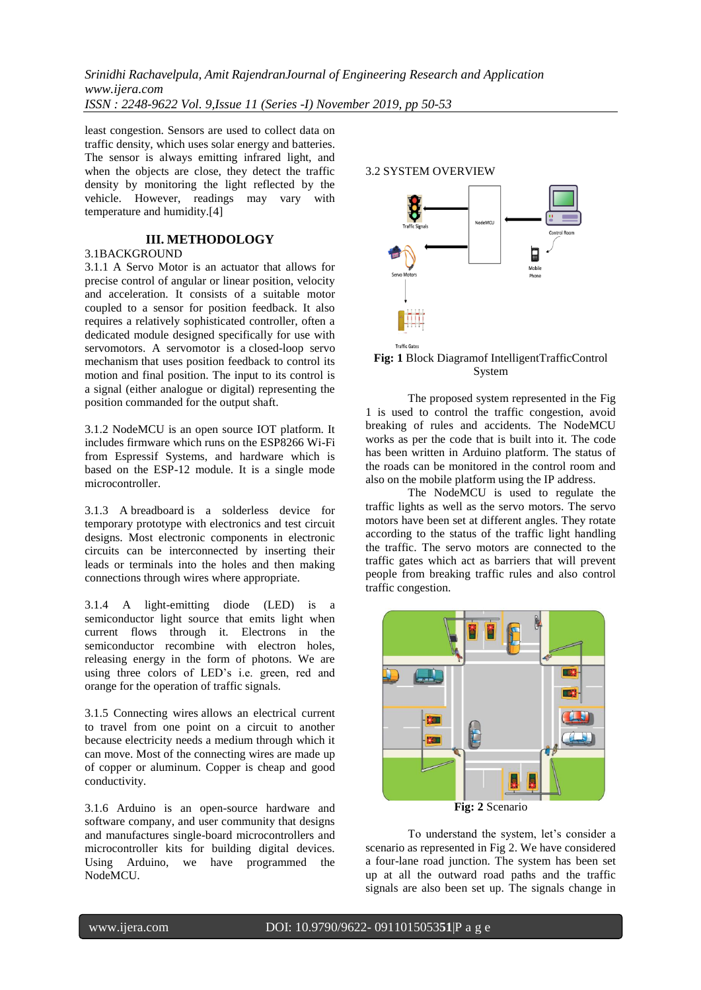least congestion. Sensors are used to collect data on traffic density, which uses solar energy and batteries. The sensor is always emitting infrared light, and when the objects are close, they detect the traffic density by monitoring the light reflected by the vehicle. However, readings may vary with temperature and humidity.[4]

## **III. METHODOLOGY**

#### 3.1BACKGROUND

3.1.1 A Servo Motor is an actuator that allows for precise control of angular or linear position, velocity and acceleration. It consists of a suitable motor coupled to a sensor for position feedback. It also requires a relatively sophisticated controller, often a dedicated module designed specifically for use with servomotors. A servomotor is a closed-loop servo mechanism that uses position feedback to control its motion and final position. The input to its control is a signal (either analogue or digital) representing the position commanded for the output shaft.

3.1.2 NodeMCU is an open source IOT platform. It includes firmware which runs on the ESP8266 Wi-Fi from Espressif Systems, and hardware which is based on the ESP-12 module. It is a single mode microcontroller.

3.1.3 A breadboard is a solderless device for temporary prototype with electronics and test circuit designs. Most electronic components in electronic circuits can be interconnected by inserting their leads or terminals into the holes and then making connections through wires where appropriate.

3.1.4 A light-emitting diode (LED) is a semiconductor light source that emits light when current flows through it. Electrons in the semiconductor recombine with electron holes, releasing energy in the form of photons. We are using three colors of LED's i.e. green, red and orange for the operation of traffic signals.

3.1.5 Connecting wires allows an electrical current to travel from one point on a circuit to another because electricity needs a medium through which it can move. Most of the connecting wires are made up of copper or aluminum. Copper is cheap and good conductivity.

3.1.6 Arduino is an open-source hardware and software company, and user community that designs and manufactures single-board microcontrollers and microcontroller kits for building digital devices. Using Arduino, we have programmed the NodeMCU.



## **Fig: 1** Block Diagramof IntelligentTrafficControl System

The proposed system represented in the Fig 1 is used to control the traffic congestion, avoid breaking of rules and accidents. The NodeMCU works as per the code that is built into it. The code has been written in Arduino platform. The status of the roads can be monitored in the control room and also on the mobile platform using the IP address.

The NodeMCU is used to regulate the traffic lights as well as the servo motors. The servo motors have been set at different angles. They rotate according to the status of the traffic light handling the traffic. The servo motors are connected to the traffic gates which act as barriers that will prevent people from breaking traffic rules and also control traffic congestion.



**Fig: 2** Scenario

To understand the system, let's consider a scenario as represented in Fig 2. We have considered a four-lane road junction. The system has been set up at all the outward road paths and the traffic signals are also been set up. The signals change in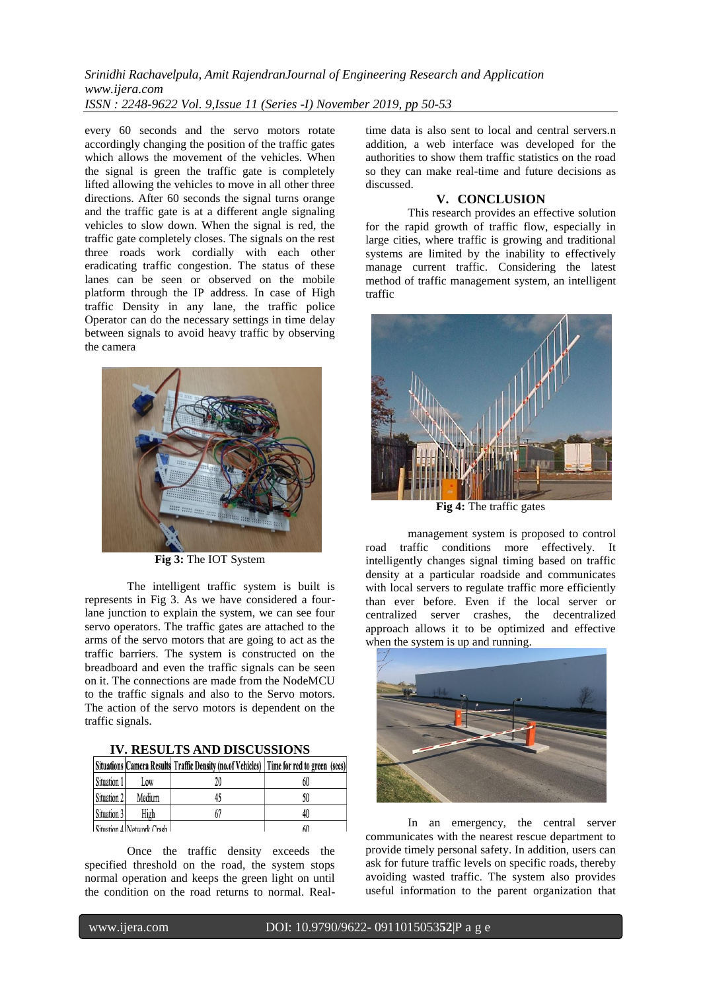every 60 seconds and the servo motors rotate accordingly changing the position of the traffic gates which allows the movement of the vehicles. When the signal is green the traffic gate is completely lifted allowing the vehicles to move in all other three directions. After 60 seconds the signal turns orange and the traffic gate is at a different angle signaling vehicles to slow down. When the signal is red, the traffic gate completely closes. The signals on the rest three roads work cordially with each other eradicating traffic congestion. The status of these lanes can be seen or observed on the mobile platform through the IP address. In case of High traffic Density in any lane, the traffic police Operator can do the necessary settings in time delay between signals to avoid heavy traffic by observing the camera



**Fig 3:** The IOT System

The intelligent traffic system is built is represents in Fig 3. As we have considered a fourlane junction to explain the system, we can see four servo operators. The traffic gates are attached to the arms of the servo motors that are going to act as the traffic barriers. The system is constructed on the breadboard and even the traffic signals can be seen on it. The connections are made from the NodeMCU to the traffic signals and also to the Servo motors. The action of the servo motors is dependent on the traffic signals.

|             |                            | Situations Camera Results Traffic Density (no.of Vehicles) Time for red to green (secs) |    |
|-------------|----------------------------|-----------------------------------------------------------------------------------------|----|
| Situation 1 | Low                        |                                                                                         | 60 |
| Situation 2 | Medium                     | 45                                                                                      | 50 |
| Situation 3 | High                       |                                                                                         | 40 |
|             | Cituation Al Network Crash |                                                                                         | 60 |

**IV. RESULTS AND DISCUSSIONS**

Once the traffic density exceeds the specified threshold on the road, the system stops normal operation and keeps the green light on until the condition on the road returns to normal. Realtime data is also sent to local and central servers.n addition, a web interface was developed for the authorities to show them traffic statistics on the road so they can make real-time and future decisions as discussed.

## **V. CONCLUSION**

This research provides an effective solution for the rapid growth of traffic flow, especially in large cities, where traffic is growing and traditional systems are limited by the inability to effectively manage current traffic. Considering the latest method of traffic management system, an intelligent traffic



**Fig 4:** The traffic gates

management system is proposed to control road traffic conditions more effectively. It intelligently changes signal timing based on traffic density at a particular roadside and communicates with local servers to regulate traffic more efficiently than ever before. Even if the local server or centralized server crashes, the decentralized approach allows it to be optimized and effective when the system is up and running.



In an emergency, the central server communicates with the nearest rescue department to provide timely personal safety. In addition, users can ask for future traffic levels on specific roads, thereby avoiding wasted traffic. The system also provides useful information to the parent organization that